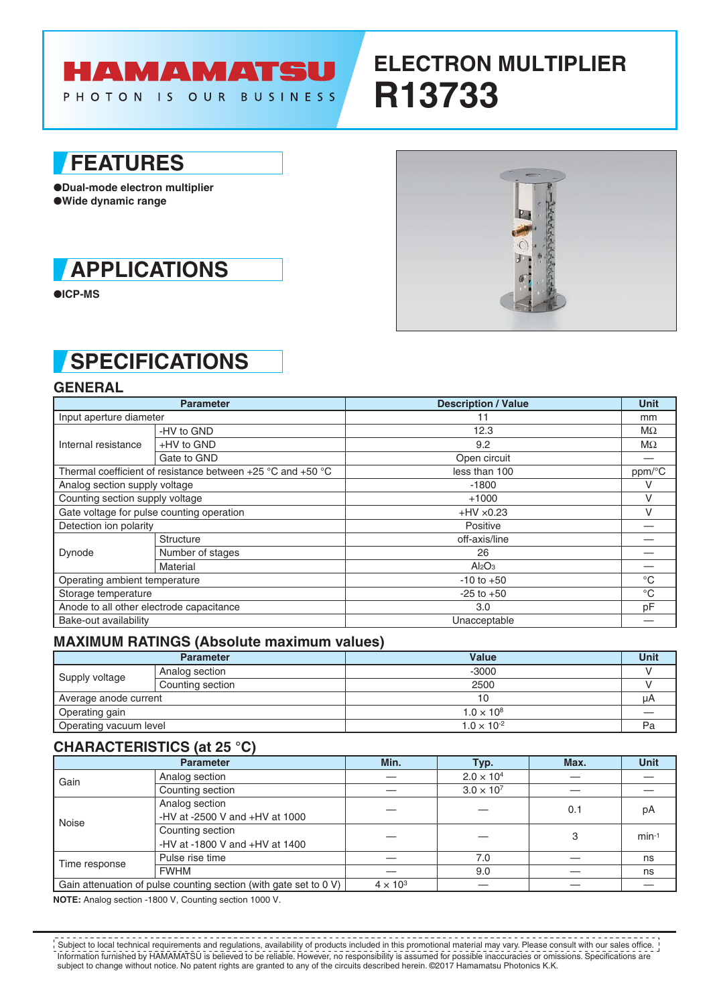

# **ELECTRON MULTIPLIER R13733**

### **FEATURES**

●**Dual-mode electron multiplier** ●**Wide dynamic range**



●**ICP-MS**

## **SPECIFICATIONS**

### **GENERAL**

| <b>Parameter</b>                                                |                  | <b>Description / Value</b>     | <b>Unit</b>  |  |
|-----------------------------------------------------------------|------------------|--------------------------------|--------------|--|
| Input aperture diameter                                         |                  | 11                             | mm           |  |
| Internal resistance                                             | -HV to GND       | 12.3                           | MΩ           |  |
|                                                                 | +HV to GND       | 9.2                            | MΩ           |  |
|                                                                 | Gate to GND      | Open circuit                   |              |  |
| Thermal coefficient of resistance between $+25$ °C and $+50$ °C |                  | less than 100                  | ppm/°C       |  |
| Analog section supply voltage                                   |                  | $-1800$                        | v            |  |
| Counting section supply voltage                                 |                  | $+1000$                        | v            |  |
| Gate voltage for pulse counting operation                       |                  | $+HV \times 0.23$              |              |  |
| Detection ion polarity                                          |                  | Positive                       |              |  |
| Dynode                                                          | <b>Structure</b> | off-axis/line                  |              |  |
|                                                                 | Number of stages | 26                             |              |  |
|                                                                 | Material         | Al <sub>2</sub> O <sub>3</sub> |              |  |
| Operating ambient temperature                                   |                  | $-10$ to $+50$                 | $^{\circ}C$  |  |
| Storage temperature                                             |                  | $-25$ to $+50$                 | $^{\circ}$ C |  |
| Anode to all other electrode capacitance                        |                  | 3.0                            | рF           |  |
| Bake-out availability                                           |                  | Unacceptable                   |              |  |

#### **MAXIMUM RATINGS (Absolute maximum values)**

| <b>Parameter</b>       |                  | Value                | <b>Unit</b> |
|------------------------|------------------|----------------------|-------------|
| Supply voltage         | Analog section   | $-3000$              |             |
|                        | Counting section | 2500                 |             |
| Average anode current  |                  |                      | μA          |
| Operating gain         |                  | $1.0 \times 10^{8}$  |             |
| Operating vacuum level |                  | $1.0 \times 10^{-2}$ | Pa          |

#### **CHARACTERISTICS (at 25 °C)**

| <b>Parameter</b>                                                  |                                                       | Min.            | Typ.                | Max. | Unit    |
|-------------------------------------------------------------------|-------------------------------------------------------|-----------------|---------------------|------|---------|
| Gain                                                              | Analog section                                        |                 | $2.0 \times 10^{4}$ |      |         |
|                                                                   | Counting section                                      |                 | $3.0 \times 10^{7}$ |      |         |
| Noise                                                             | Analog section<br>-HV at -2500 V and $+$ HV at 1000   |                 |                     | 0.1  | рA      |
|                                                                   | Counting section<br>-HV at -1800 V and $+$ HV at 1400 |                 |                     | 3    | $min-1$ |
| Time response                                                     | Pulse rise time                                       |                 | 7.0                 |      | ns      |
|                                                                   | <b>FWHM</b>                                           |                 | 9.0                 |      | ns      |
| Gain attenuation of pulse counting section (with gate set to 0 V) |                                                       | $4 \times 10^3$ |                     |      |         |

**NOTE:** Analog section -1800 V, Counting section 1000 V.

Information furnished by HAMAMATSU is believed to be reliable. However, no responsibility is assumed for possible inaccuracies or omissions. Specifications are subject to change without notice. No patent rights are granted to any of the circuits described herein. ©2017 Hamamatsu Photonics K.K. Subject to local technical requirements and regulations, availability of products included in this promotional material may vary. Please consult with our sales office.